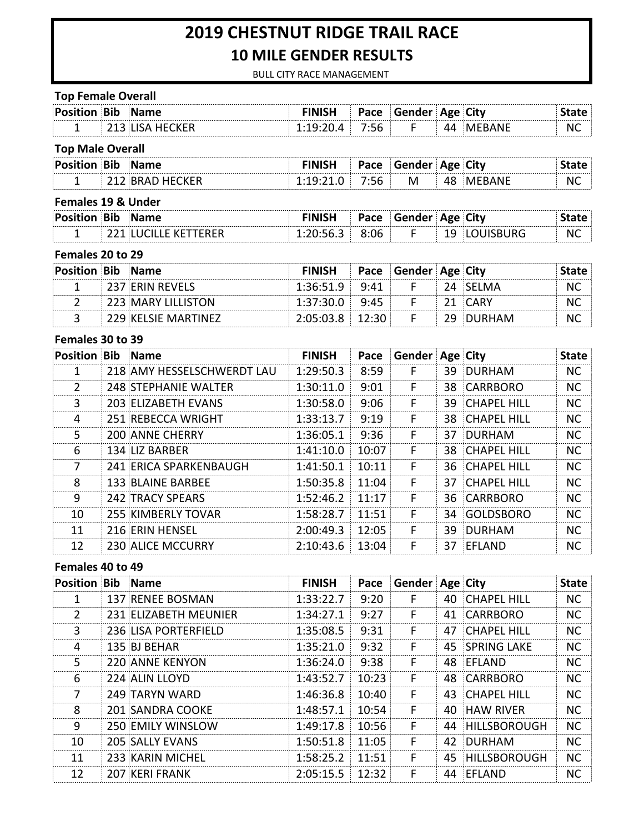# **2019 CHESTNUT RIDGE TRAIL RACE 10 MILE GENDER RESULTS**

BULL CITY RACE MANAGEMENT

| <b>Top Female Overall</b>     |                             |               |       |                      |    |                    |              |
|-------------------------------|-----------------------------|---------------|-------|----------------------|----|--------------------|--------------|
| <b>Position Bib Name</b>      |                             | <b>FINISH</b> |       | Pace Gender Age City |    |                    | <b>State</b> |
| 1                             | 213 LISA HECKER             | 1:19:20.4     | 7:56  | F.                   |    | 44 MEBANE          | NC.          |
| <b>Top Male Overall</b>       |                             |               |       |                      |    |                    |              |
| <b>Position Bib Name</b>      |                             | <b>FINISH</b> | Pace  | Gender Age City      |    |                    | <b>State</b> |
| $\mathbf{1}$                  | 212 BRAD HECKER             | 1:19:21.0     | 7:56  | M                    |    | 48 MEBANE          | <b>NC</b>    |
| <b>Females 19 &amp; Under</b> |                             |               |       |                      |    |                    |              |
| <b>Position Bib Name</b>      |                             | <b>FINISH</b> | Pace  | Gender Age City      |    |                    | <b>State</b> |
| 1                             | <b>221 LUCILLE KETTERER</b> | 1:20:56.3     | 8:06  | F.                   |    | 19 LOUISBURG       | NC.          |
| Females 20 to 29              |                             |               |       |                      |    |                    |              |
| <b>Position Bib Name</b>      |                             | <b>FINISH</b> | Pace  | Gender Age City      |    |                    | <b>State</b> |
| 1                             | 237 ERIN REVELS             | 1:36:51.9     | 9:41  | F                    |    | 24 SELMA           | NC.          |
| 2                             | 223 MARY LILLISTON          | 1:37:30.0     | 9:45  | F                    | 21 | <b>CARY</b>        | <b>NC</b>    |
| 3                             | 229 KELSIE MARTINEZ         | 2:05:03.8     | 12:30 | F.                   | 29 | <b>DURHAM</b>      | NC           |
| Females 30 to 39              |                             |               |       |                      |    |                    |              |
| <b>Position Bib</b>           | <b>Name</b>                 | <b>FINISH</b> | Pace  | Gender Age City      |    |                    | <b>State</b> |
| $\mathbf{1}$                  | 218 AMY HESSELSCHWERDT LAU  | 1:29:50.3     | 8:59  | F                    | 39 | <b>DURHAM</b>      | <b>NC</b>    |
| 2                             | 248 STEPHANIE WALTER        | 1:30:11.0     | 9:01  | F                    | 38 | <b>CARRBORO</b>    | <b>NC</b>    |
| 3                             | 203 ELIZABETH EVANS         | 1:30:58.0     | 9:06  | F                    | 39 | <b>CHAPEL HILL</b> | <b>NC</b>    |
| 4                             | 251 REBECCA WRIGHT          | 1:33:13.7     | 9:19  | F                    | 38 | <b>CHAPEL HILL</b> | <b>NC</b>    |
| 5                             | 200 ANNE CHERRY             | 1:36:05.1     | 9:36  | F                    | 37 | DURHAM             | <b>NC</b>    |
| 6                             | 134 LIZ BARBER              | 1:41:10.0     | 10:07 | F.                   | 38 | <b>CHAPEL HILL</b> | <b>NC</b>    |
| $\overline{7}$                | 241 ERICA SPARKENBAUGH      | 1:41:50.1     | 10:11 | F                    | 36 | <b>CHAPEL HILL</b> | <b>NC</b>    |
| 8                             | 133 BLAINE BARBEE           | 1:50:35.8     | 11:04 | F                    | 37 | <b>CHAPEL HILL</b> | <b>NC</b>    |
| 9                             | <b>242 TRACY SPEARS</b>     | 1:52:46.2     | 11:17 | F.                   | 36 | <b>CARRBORO</b>    | <b>NC</b>    |
| 10                            | 255 KIMBERLY TOVAR          | 1:58:28.7     | 11:51 | F                    | 34 | GOLDSBORO          | <b>NC</b>    |
| 11                            | 216 ERIN HENSEL             | 2:00:49.3     | 12:05 | F                    | 39 | <b>DURHAM</b>      | <b>NC</b>    |
| 12                            | 230 ALICE MCCURRY           | 2:10:43.6     | 13:04 | F                    | 37 | EFLAND             | NC.          |
| Females 40 to 49              |                             |               |       |                      |    |                    |              |
| <b>Position Bib Name</b>      |                             | <b>FINISH</b> | Pace  | Gender Age City      |    |                    | <b>State</b> |
| $\mathbf{1}$                  | 137 RENEE BOSMAN            | 1:33:22.7     | 9:20  | F                    |    | 40 CHAPEL HILL     | <b>NC</b>    |
| $\overline{2}$                | 231 ELIZABETH MEUNIER       | 1:34:27.1     | 9:27  | F.                   | 41 | CARRBORO           | NC           |
| 3                             | 236 LISA PORTERFIELD        | 1:35:08.5     | 9:31  | F                    | 47 | <b>CHAPEL HILL</b> | NC           |
| 4                             | 135 BJ BEHAR                | 1:35:21.0     | 9:32  | F                    | 45 | <b>SPRING LAKE</b> | <b>NC</b>    |
| 5                             | <b>220 ANNE KENYON</b>      | 1:36:24.0     | 9:38  | F                    | 48 | EFLAND             | <b>NC</b>    |
| 6                             | 224 ALIN LLOYD              | 1:43:52.7     | 10:23 | F                    | 48 | CARRBORO           | NC.          |
| 7                             | 249 TARYN WARD              | 1:46:36.8     | 10:40 | F                    | 43 | <b>CHAPEL HILL</b> | NC.          |
| 8                             | 201 SANDRA COOKE            | 1:48:57.1     | 10:54 | F                    | 40 | <b>HAW RIVER</b>   | <b>NC</b>    |
| 9                             | 250 EMILY WINSLOW           | 1:49:17.8     | 10:56 | F                    | 44 | HILLSBOROUGH       | <b>NC</b>    |
| 10                            | 205 SALLY EVANS             | 1:50:51.8     | 11:05 | F                    | 42 | DURHAM             | <b>NC</b>    |

11 233 KARIN MICHEL 1:58:25.2 11:51 F 45 HILLSBOROUGH NC<br>12 207 KERI FRANK 2:05:15.5 12:32 F 44 EFLAND NC 12 207 KERI FRANK 2:05:15.5 12:32 F 44 EFLAND NC